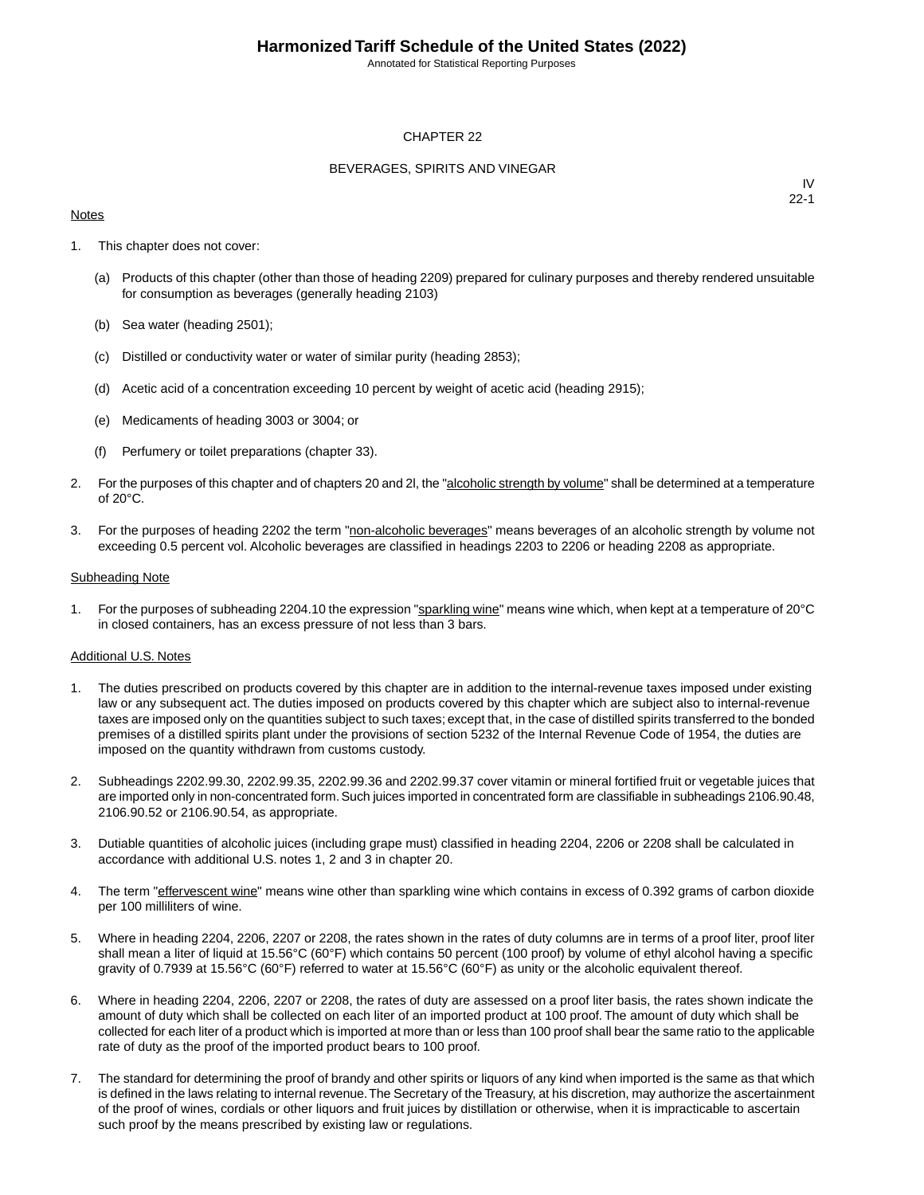Annotated for Statistical Reporting Purposes

### CHAPTER 22

### BEVERAGES, SPIRITS AND VINEGAR

#### **Notes**

IV 22-1

- 1. This chapter does not cover:
	- (a) Products of this chapter (other than those of heading 2209) prepared for culinary purposes and thereby rendered unsuitable for consumption as beverages (generally heading 2103)
	- (b) Sea water (heading 2501);
	- (c) Distilled or conductivity water or water of similar purity (heading 2853);
	- (d) Acetic acid of a concentration exceeding 10 percent by weight of acetic acid (heading 2915);
	- (e) Medicaments of heading 3003 or 3004; or
	- (f) Perfumery or toilet preparations (chapter 33).
- 2. For the purposes of this chapter and of chapters 20 and 2l, the "alcoholic strength by volume" shall be determined at a temperature of 20°C.
- 3. For the purposes of heading 2202 the term "non-alcoholic beverages" means beverages of an alcoholic strength by volume not exceeding 0.5 percent vol. Alcoholic beverages are classified in headings 2203 to 2206 or heading 2208 as appropriate.

#### Subheading Note

1. For the purposes of subheading 2204.10 the expression "sparkling wine" means wine which, when kept at a temperature of 20°C in closed containers, has an excess pressure of not less than 3 bars.

#### Additional U.S. Notes

- 1. The duties prescribed on products covered by this chapter are in addition to the internal-revenue taxes imposed under existing law or any subsequent act. The duties imposed on products covered by this chapter which are subject also to internal-revenue taxes are imposed only on the quantities subject to such taxes; except that, in the case of distilled spirits transferred to the bonded premises of a distilled spirits plant under the provisions of section 5232 of the Internal Revenue Code of 1954, the duties are imposed on the quantity withdrawn from customs custody.
- 2. Subheadings 2202.99.30, 2202.99.35, 2202.99.36 and 2202.99.37 cover vitamin or mineral fortified fruit or vegetable juices that are imported only in non-concentrated form. Such juices imported in concentrated form are classifiable in subheadings 2106.90.48, 2106.90.52 or 2106.90.54, as appropriate.
- 3. Dutiable quantities of alcoholic juices (including grape must) classified in heading 2204, 2206 or 2208 shall be calculated in accordance with additional U.S. notes 1, 2 and 3 in chapter 20.
- 4. The term "effervescent wine" means wine other than sparkling wine which contains in excess of 0.392 grams of carbon dioxide per 100 milliliters of wine.
- 5. Where in heading 2204, 2206, 2207 or 2208, the rates shown in the rates of duty columns are in terms of a proof liter, proof liter shall mean a liter of liquid at 15.56°C (60°F) which contains 50 percent (100 proof) by volume of ethyl alcohol having a specific gravity of 0.7939 at 15.56°C (60°F) referred to water at 15.56°C (60°F) as unity or the alcoholic equivalent thereof.
- 6. Where in heading 2204, 2206, 2207 or 2208, the rates of duty are assessed on a proof liter basis, the rates shown indicate the amount of duty which shall be collected on each liter of an imported product at 100 proof. The amount of duty which shall be collected for each liter of a product which is imported at more than or less than 100 proof shall bear the same ratio to the applicable rate of duty as the proof of the imported product bears to 100 proof.
- 7. The standard for determining the proof of brandy and other spirits or liquors of any kind when imported is the same as that which is defined in the laws relating to internal revenue. The Secretary of the Treasury, at his discretion, may authorize the ascertainment of the proof of wines, cordials or other liquors and fruit juices by distillation or otherwise, when it is impracticable to ascertain such proof by the means prescribed by existing law or regulations.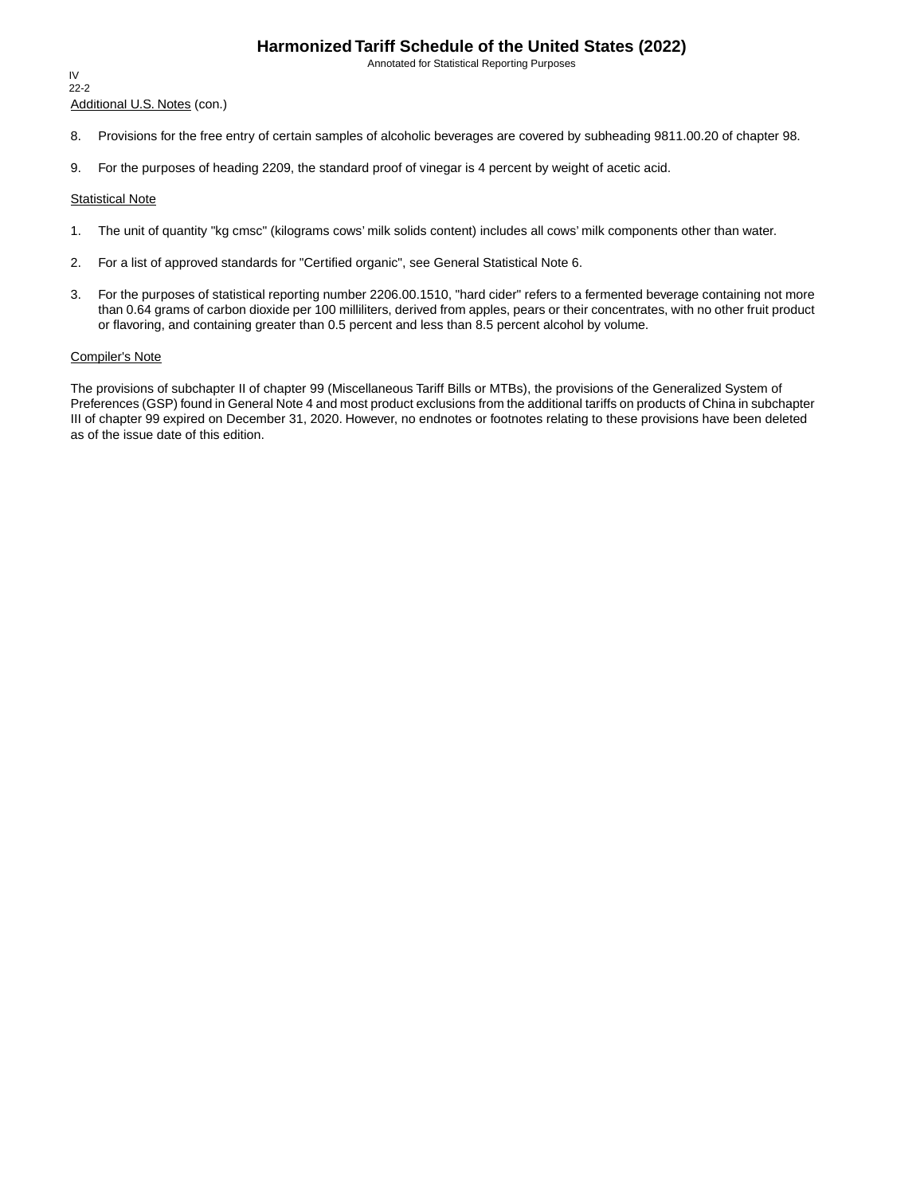Annotated for Statistical Reporting Purposes

Additional U.S. Notes (con.) IV 22-2

- 8. Provisions for the free entry of certain samples of alcoholic beverages are covered by subheading 9811.00.20 of chapter 98.
- 9. For the purposes of heading 2209, the standard proof of vinegar is 4 percent by weight of acetic acid.

### Statistical Note

- 1. The unit of quantity "kg cmsc" (kilograms cows' milk solids content) includes all cows' milk components other than water.
- 2. For a list of approved standards for "Certified organic", see General Statistical Note 6.
- 3. For the purposes of statistical reporting number 2206.00.1510, "hard cider" refers to a fermented beverage containing not more than 0.64 grams of carbon dioxide per 100 milliliters, derived from apples, pears or their concentrates, with no other fruit product or flavoring, and containing greater than 0.5 percent and less than 8.5 percent alcohol by volume.

#### Compiler's Note

The provisions of subchapter II of chapter 99 (Miscellaneous Tariff Bills or MTBs), the provisions of the Generalized System of Preferences (GSP) found in General Note 4 and most product exclusions from the additional tariffs on products of China in subchapter III of chapter 99 expired on December 31, 2020. However, no endnotes or footnotes relating to these provisions have been deleted as of the issue date of this edition.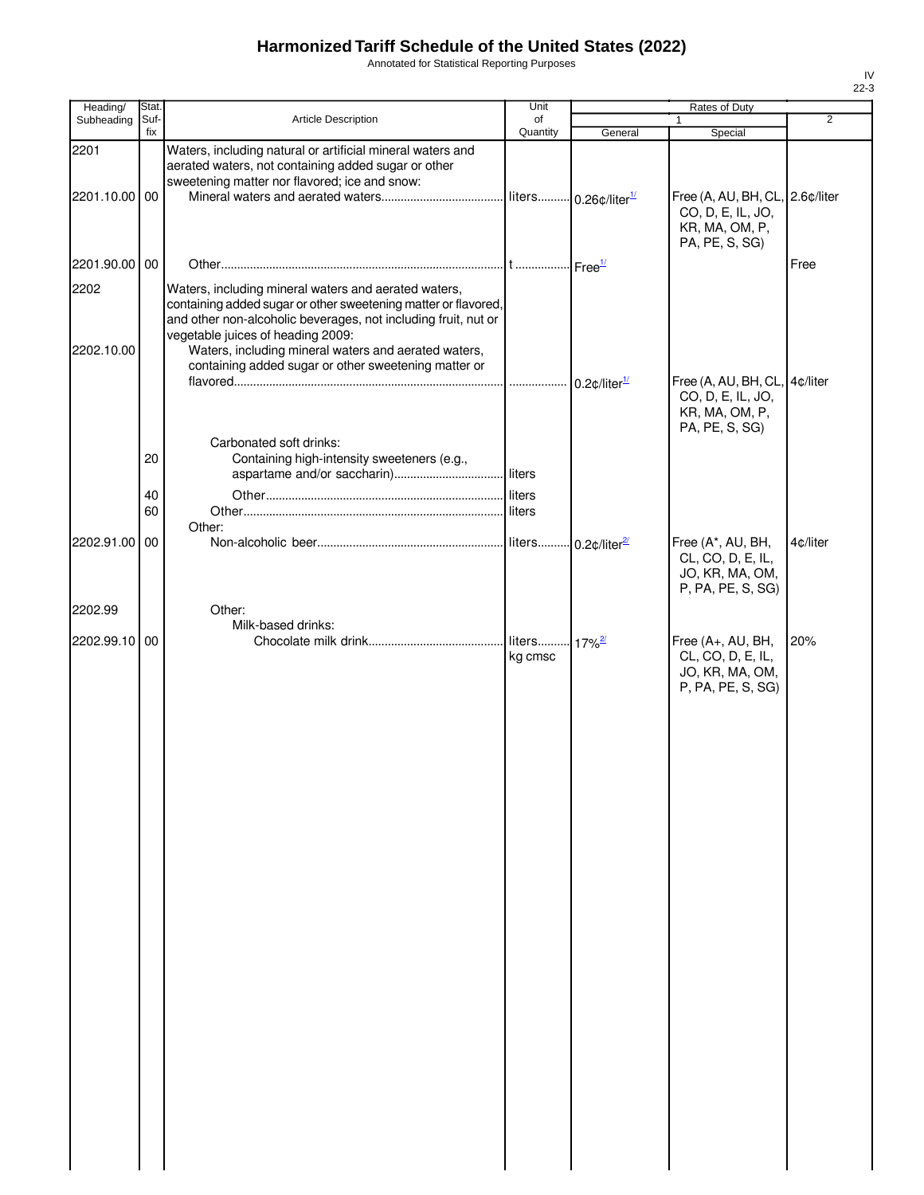Annotated for Statistical Reporting Purposes

| Heading/      | Stat. |                                                                                                                                                                                                                               | Unit                                |                             | Rates of Duty                                                                            |          |
|---------------|-------|-------------------------------------------------------------------------------------------------------------------------------------------------------------------------------------------------------------------------------|-------------------------------------|-----------------------------|------------------------------------------------------------------------------------------|----------|
| Subheading    | Suf-  | <b>Article Description</b>                                                                                                                                                                                                    | of                                  |                             |                                                                                          | 2        |
|               | fix   |                                                                                                                                                                                                                               | Quantity                            | General                     | Special                                                                                  |          |
| 2201          |       | Waters, including natural or artificial mineral waters and<br>aerated waters, not containing added sugar or other<br>sweetening matter nor flavored; ice and snow:                                                            |                                     |                             |                                                                                          |          |
| 2201.10.00 00 |       |                                                                                                                                                                                                                               |                                     |                             | Free (A, AU, BH, CL, 2.6¢/liter<br>CO, D, E, IL, JO,<br>KR, MA, OM, P,<br>PA, PE, S, SG) |          |
| 2201.90.00 00 |       |                                                                                                                                                                                                                               |                                     |                             |                                                                                          | Free     |
| 2202          |       | Waters, including mineral waters and aerated waters,<br>containing added sugar or other sweetening matter or flavored,<br>and other non-alcoholic beverages, not including fruit, nut or<br>vegetable juices of heading 2009: |                                     |                             |                                                                                          |          |
| 2202.10.00    |       | Waters, including mineral waters and aerated waters,<br>containing added sugar or other sweetening matter or                                                                                                                  |                                     | $0.2$ ¢/liter $\frac{1}{2}$ | Free (A, AU, BH, CL, 4¢/liter<br>CO, D, E, IL, JO,                                       |          |
|               |       | Carbonated soft drinks:                                                                                                                                                                                                       |                                     |                             | KR, MA, OM, P,<br>PA, PE, S, SG)                                                         |          |
|               | 20    | Containing high-intensity sweeteners (e.g.,                                                                                                                                                                                   |                                     |                             |                                                                                          |          |
|               | 40    |                                                                                                                                                                                                                               |                                     |                             |                                                                                          |          |
|               | 60    | Other:                                                                                                                                                                                                                        | liters                              |                             |                                                                                          |          |
| 2202.91.00 00 |       |                                                                                                                                                                                                                               |                                     |                             | Free (A*, AU, BH,<br>CL, CO, D, E, IL,<br>JO, KR, MA, OM,<br>P, PA, PE, S, SG)           | 4¢/liter |
| 2202.99       |       | Other:<br>Milk-based drinks:                                                                                                                                                                                                  |                                     |                             |                                                                                          |          |
| 2202.99.10 00 |       |                                                                                                                                                                                                                               | liters 17% <sup>2/</sup><br>kg cmsc |                             | Free (A+, AU, BH,<br>CL, CO, D, E, IL,<br>JO, KR, MA, OM,<br>P, PA, PE, S, SG)           | 20%      |
|               |       |                                                                                                                                                                                                                               |                                     |                             |                                                                                          |          |
|               |       |                                                                                                                                                                                                                               |                                     |                             |                                                                                          |          |
|               |       |                                                                                                                                                                                                                               |                                     |                             |                                                                                          |          |
|               |       |                                                                                                                                                                                                                               |                                     |                             |                                                                                          |          |
|               |       |                                                                                                                                                                                                                               |                                     |                             |                                                                                          |          |
|               |       |                                                                                                                                                                                                                               |                                     |                             |                                                                                          |          |
|               |       |                                                                                                                                                                                                                               |                                     |                             |                                                                                          |          |
|               |       |                                                                                                                                                                                                                               |                                     |                             |                                                                                          |          |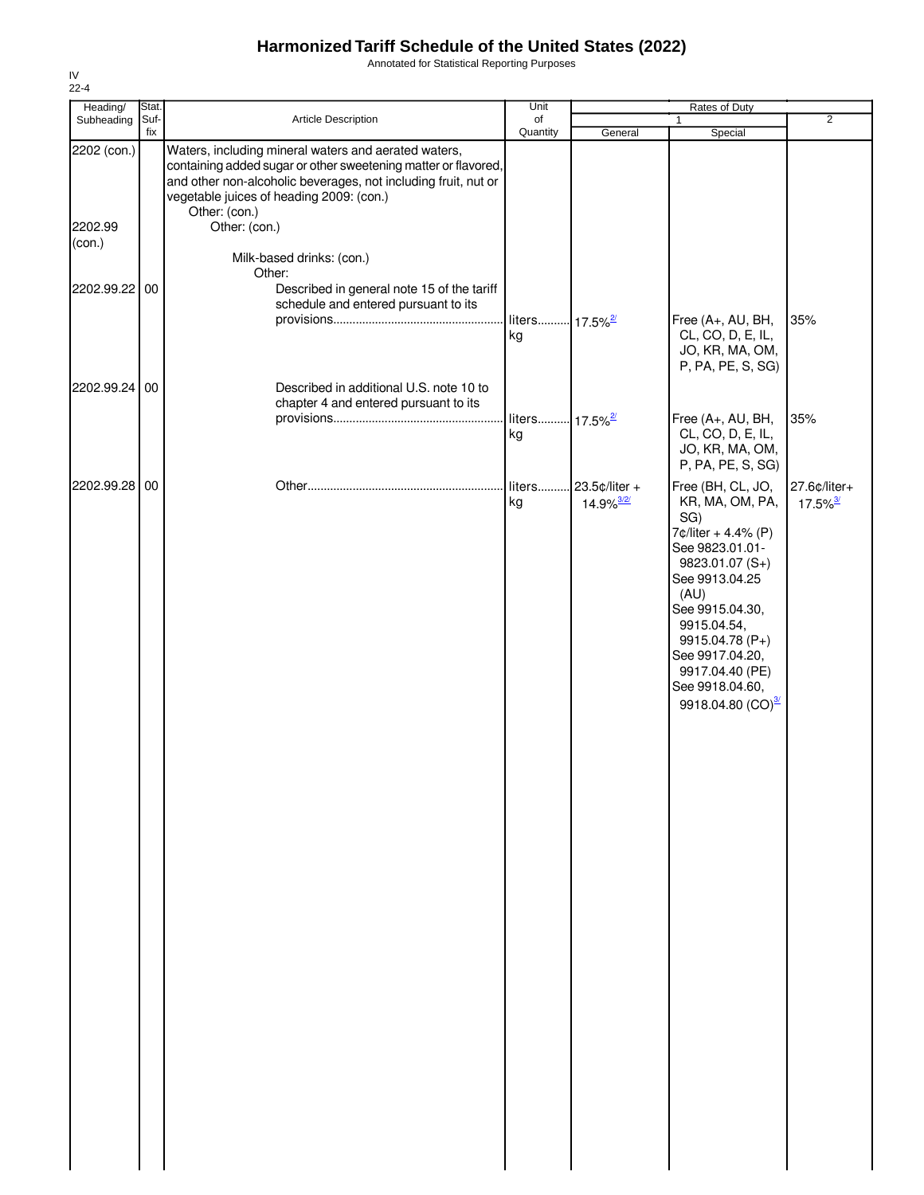Annotated for Statistical Reporting Purposes

| Heading/          | Stat. |                                                                                                                                                                                                                                                       | Unit                             |                                             | Rates of Duty                                                                                                                                                                                                                                                               |                                        |
|-------------------|-------|-------------------------------------------------------------------------------------------------------------------------------------------------------------------------------------------------------------------------------------------------------|----------------------------------|---------------------------------------------|-----------------------------------------------------------------------------------------------------------------------------------------------------------------------------------------------------------------------------------------------------------------------------|----------------------------------------|
| Subheading        | Suf-  | Article Description                                                                                                                                                                                                                                   | of                               |                                             | $\mathbf{1}$                                                                                                                                                                                                                                                                | $\overline{2}$                         |
| 2202 (con.)       | fix   | Waters, including mineral waters and aerated waters,<br>containing added sugar or other sweetening matter or flavored,<br>and other non-alcoholic beverages, not including fruit, nut or<br>vegetable juices of heading 2009: (con.)<br>Other: (con.) | Quantity                         | General                                     | Special                                                                                                                                                                                                                                                                     |                                        |
| 2202.99<br>(con.) |       | Other: (con.)                                                                                                                                                                                                                                         |                                  |                                             |                                                                                                                                                                                                                                                                             |                                        |
|                   |       | Milk-based drinks: (con.)<br>Other:                                                                                                                                                                                                                   |                                  |                                             |                                                                                                                                                                                                                                                                             |                                        |
| 2202.99.22 00     |       | Described in general note 15 of the tariff<br>schedule and entered pursuant to its                                                                                                                                                                    | liters 17.5% <sup>2/</sup><br>kg |                                             | Free (A+, AU, BH,<br>CL, CO, D, E, IL,                                                                                                                                                                                                                                      | 35%                                    |
|                   |       |                                                                                                                                                                                                                                                       |                                  |                                             | JO, KR, MA, OM,<br>P, PA, PE, S, SG)                                                                                                                                                                                                                                        |                                        |
| 2202.99.24 00     |       | Described in additional U.S. note 10 to<br>chapter 4 and entered pursuant to its                                                                                                                                                                      |                                  |                                             |                                                                                                                                                                                                                                                                             |                                        |
|                   |       |                                                                                                                                                                                                                                                       | liters 17.5% <sup>2/</sup><br>kg |                                             | Free (A+, AU, BH,<br>CL, CO, D, E, IL,<br>JO, KR, MA, OM,<br>P, PA, PE, S, SG)                                                                                                                                                                                              | 35%                                    |
| 2202.99.28 00     |       |                                                                                                                                                                                                                                                       | liters<br>kg                     | . 23.5¢/liter +<br>$14.9\%$ <sup>3/2/</sup> | Free (BH, CL, JO,<br>KR, MA, OM, PA,<br>SG)<br>7¢/liter + 4.4% (P)<br>See 9823.01.01-<br>9823.01.07 (S+)<br>See 9913.04.25<br>(AU)<br>See 9915.04.30,<br>9915.04.54,<br>9915.04.78 (P+)<br>See 9917.04.20,<br>9917.04.40 (PE)<br>See 9918.04.60,<br>9918.04.80 $(CO)^{3/2}$ | 27.6¢/liter+<br>$17.5\%$ <sup>3/</sup> |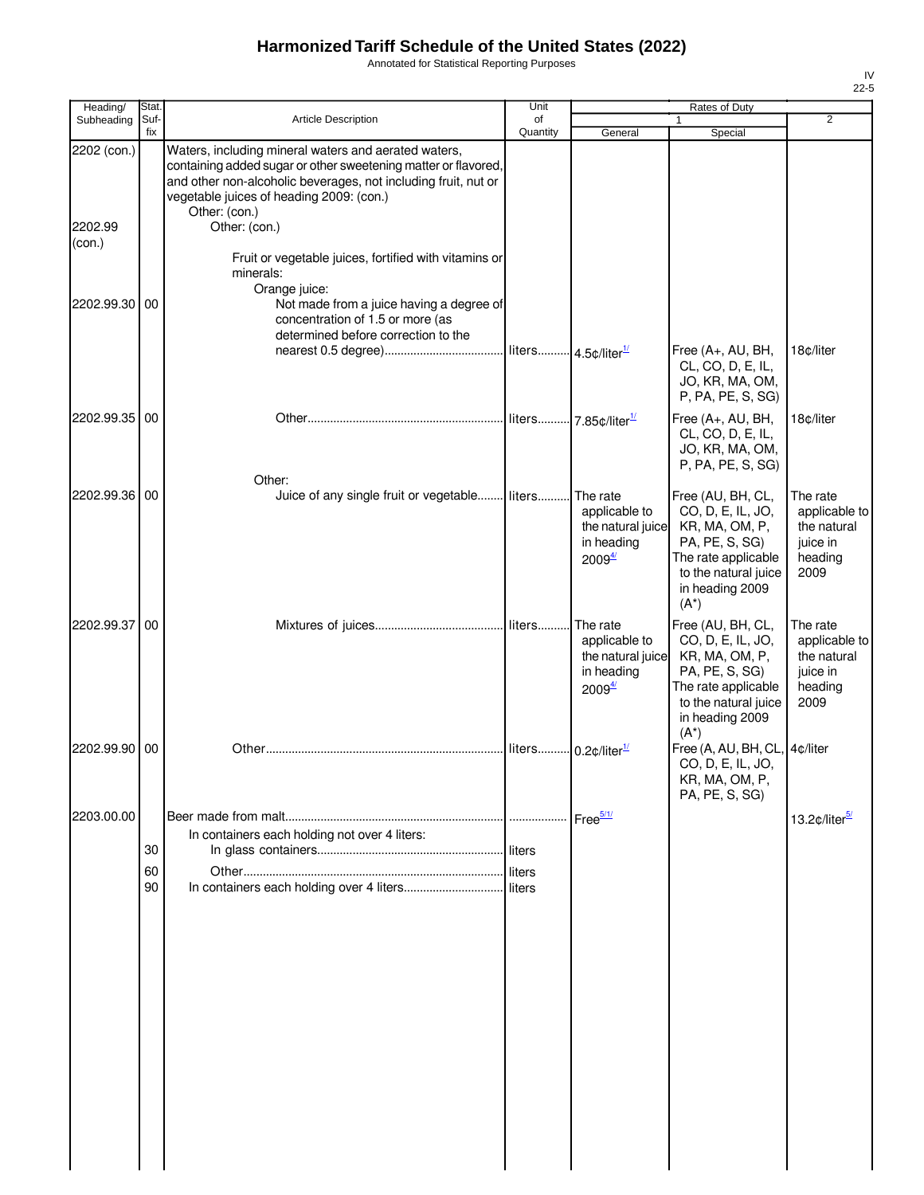Annotated for Statistical Reporting Purposes

| Heading/                         | Stat.       |                                                                                                                                                                                                                                                                        | Unit                            |                                                                                      | Rates of Duty                                                                                                                                           |                                                                         |
|----------------------------------|-------------|------------------------------------------------------------------------------------------------------------------------------------------------------------------------------------------------------------------------------------------------------------------------|---------------------------------|--------------------------------------------------------------------------------------|---------------------------------------------------------------------------------------------------------------------------------------------------------|-------------------------------------------------------------------------|
| Subheading                       | Suf-<br>fix | Article Description                                                                                                                                                                                                                                                    | of<br>Quantity                  | General                                                                              | Special                                                                                                                                                 | $\overline{2}$                                                          |
| 2202 (con.)<br>2202.99<br>(con.) |             | Waters, including mineral waters and aerated waters,<br>containing added sugar or other sweetening matter or flavored,<br>and other non-alcoholic beverages, not including fruit, nut or<br>vegetable juices of heading 2009: (con.)<br>Other: (con.)<br>Other: (con.) |                                 |                                                                                      |                                                                                                                                                         |                                                                         |
|                                  |             | Fruit or vegetable juices, fortified with vitamins or<br>minerals:<br>Orange juice:                                                                                                                                                                                    |                                 |                                                                                      |                                                                                                                                                         |                                                                         |
| 2202.99.30 00                    |             | Not made from a juice having a degree of<br>concentration of 1.5 or more (as<br>determined before correction to the                                                                                                                                                    |                                 |                                                                                      | Free (A+, AU, BH,<br>CL, CO, D, E, IL,                                                                                                                  | 18c/liter                                                               |
|                                  |             |                                                                                                                                                                                                                                                                        |                                 |                                                                                      | JO, KR, MA, OM,<br>P, PA, PE, S, SG)                                                                                                                    |                                                                         |
| 2202.99.35 00                    |             | Other:                                                                                                                                                                                                                                                                 |                                 |                                                                                      | Free (A+, AU, BH,<br>CL, CO, D, E, IL,<br>JO, KR, MA, OM,<br>P, PA, PE, S, SG)                                                                          | 18c/liter                                                               |
| 2202.99.36 00                    |             | Juice of any single fruit or vegetable liters                                                                                                                                                                                                                          |                                 | The rate<br>applicable to<br>the natural juice<br>in heading<br>2009 <sup>4</sup>    | Free (AU, BH, CL,<br>CO, D, E, IL, JO,<br>KR, MA, OM, P,<br>PA, PE, S, SG)<br>The rate applicable<br>to the natural juice<br>in heading 2009<br>$(A^*)$ | The rate<br>applicable to<br>the natural<br>juice in<br>heading<br>2009 |
| 2202.99.37 00                    |             |                                                                                                                                                                                                                                                                        | liters                          | The rate<br>applicable to<br>the natural juice<br>in heading<br>$2009^{\frac{4}{2}}$ | Free (AU, BH, CL,<br>CO, D, E, IL, JO,<br>KR, MA, OM, P,<br>PA, PE, S, SG)<br>The rate applicable<br>to the natural juice<br>in heading 2009<br>$(A^*)$ | The rate<br>applicable to<br>the natural<br>juice in<br>heading<br>2009 |
| 2202.99.90                       | 00          |                                                                                                                                                                                                                                                                        | liters 0.2¢/liter <sup>1/</sup> |                                                                                      | Free (A, AU, BH, CL, 4¢/liter<br>CO, D, E, IL, JO,<br>KR, MA, OM, P,<br>PA, PE, S, SG)                                                                  |                                                                         |
| 2203.00.00                       | 30          | In containers each holding not over 4 liters:                                                                                                                                                                                                                          |                                 |                                                                                      |                                                                                                                                                         | 13.2¢/liter <sup>5/</sup>                                               |
|                                  | 60<br>90    |                                                                                                                                                                                                                                                                        |                                 |                                                                                      |                                                                                                                                                         |                                                                         |
|                                  |             |                                                                                                                                                                                                                                                                        |                                 |                                                                                      |                                                                                                                                                         |                                                                         |
|                                  |             |                                                                                                                                                                                                                                                                        |                                 |                                                                                      |                                                                                                                                                         |                                                                         |
|                                  |             |                                                                                                                                                                                                                                                                        |                                 |                                                                                      |                                                                                                                                                         |                                                                         |
|                                  |             |                                                                                                                                                                                                                                                                        |                                 |                                                                                      |                                                                                                                                                         |                                                                         |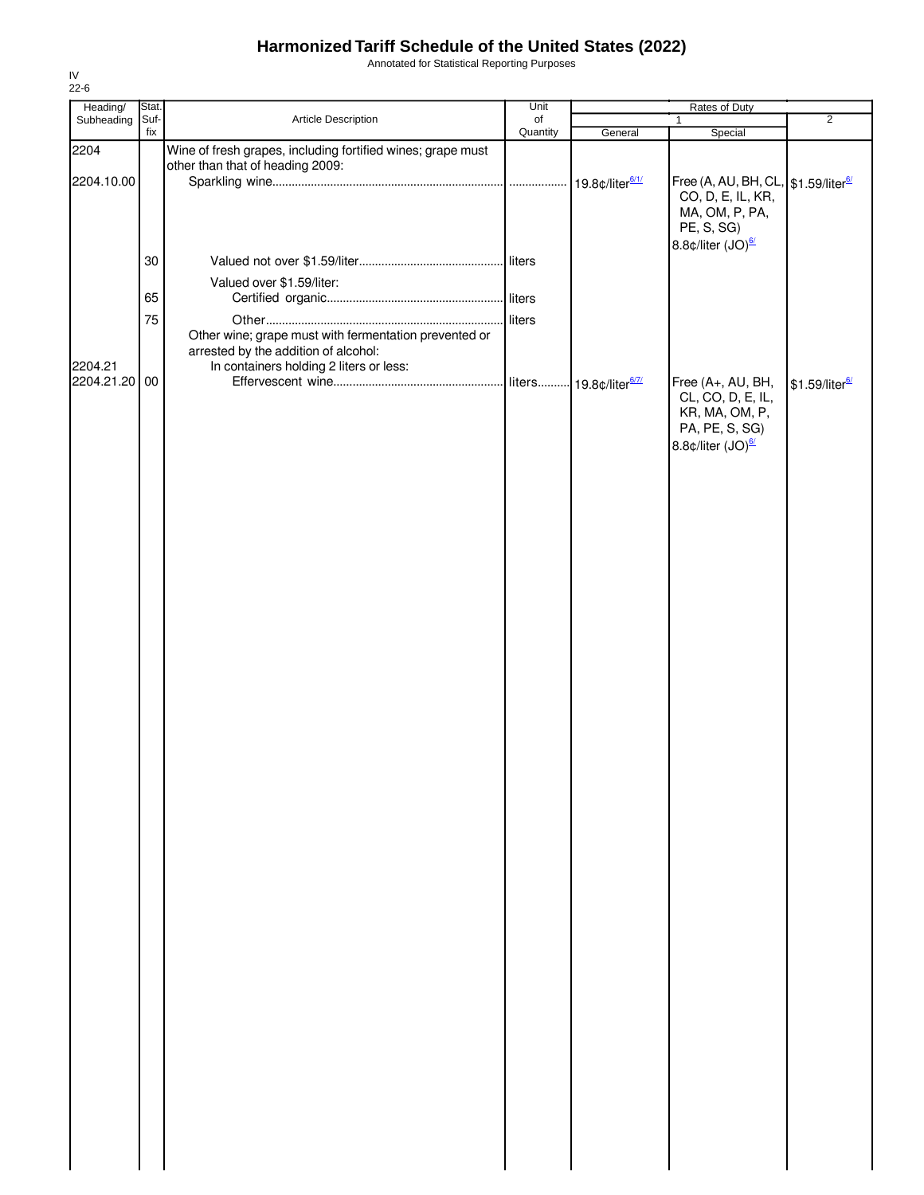Annotated for Statistical Reporting Purposes

| Heading/      | Stat.       |                                                                                                                                          | Unit           |                               | Rates of Duty                                                                                        |                            |
|---------------|-------------|------------------------------------------------------------------------------------------------------------------------------------------|----------------|-------------------------------|------------------------------------------------------------------------------------------------------|----------------------------|
| Subheading    | Suf-<br>fix | Article Description                                                                                                                      | of<br>Quantity |                               | $\mathbf{1}$                                                                                         | $\overline{2}$             |
| 2204          |             | Wine of fresh grapes, including fortified wines; grape must                                                                              |                | General                       | Special                                                                                              |                            |
|               |             | other than that of heading 2009:                                                                                                         |                |                               |                                                                                                      |                            |
| 2204.10.00    |             |                                                                                                                                          |                | 19.8¢/liter <sup>6/1/</sup>   | Free (A, AU, BH, CL, \$1.59/liter <sup>6/</sup><br>CO, D, E, IL, KR,<br>MA, OM, P, PA,<br>PE, S, SG) |                            |
|               |             |                                                                                                                                          |                |                               | 8.8¢/liter (JO) <sup>6/</sup>                                                                        |                            |
|               | 30          |                                                                                                                                          |                |                               |                                                                                                      |                            |
|               |             | Valued over \$1.59/liter:                                                                                                                |                |                               |                                                                                                      |                            |
|               | 65          |                                                                                                                                          |                |                               |                                                                                                      |                            |
|               | 75          |                                                                                                                                          | liters         |                               |                                                                                                      |                            |
| 2204.21       |             | Other wine; grape must with fermentation prevented or<br>arrested by the addition of alcohol:<br>In containers holding 2 liters or less: |                |                               |                                                                                                      |                            |
| 2204.21.20 00 |             |                                                                                                                                          | liters         | - 19.8¢/liter <sup>6/7/</sup> | Free (A+, AU, BH,                                                                                    | \$1.59/liter <sup>6/</sup> |
|               |             |                                                                                                                                          |                |                               | CL, CO, D, E, IL,<br>KR, MA, OM, P,<br>PA, PE, S, SG)<br>8.8¢/liter (JO) <sup>6/</sup>               |                            |
|               |             |                                                                                                                                          |                |                               |                                                                                                      |                            |
|               |             |                                                                                                                                          |                |                               |                                                                                                      |                            |
|               |             |                                                                                                                                          |                |                               |                                                                                                      |                            |
|               |             |                                                                                                                                          |                |                               |                                                                                                      |                            |
|               |             |                                                                                                                                          |                |                               |                                                                                                      |                            |
|               |             |                                                                                                                                          |                |                               |                                                                                                      |                            |
|               |             |                                                                                                                                          |                |                               |                                                                                                      |                            |
|               |             |                                                                                                                                          |                |                               |                                                                                                      |                            |
|               |             |                                                                                                                                          |                |                               |                                                                                                      |                            |
|               |             |                                                                                                                                          |                |                               |                                                                                                      |                            |
|               |             |                                                                                                                                          |                |                               |                                                                                                      |                            |
|               |             |                                                                                                                                          |                |                               |                                                                                                      |                            |
|               |             |                                                                                                                                          |                |                               |                                                                                                      |                            |
|               |             |                                                                                                                                          |                |                               |                                                                                                      |                            |
|               |             |                                                                                                                                          |                |                               |                                                                                                      |                            |
|               |             |                                                                                                                                          |                |                               |                                                                                                      |                            |
|               |             |                                                                                                                                          |                |                               |                                                                                                      |                            |
|               |             |                                                                                                                                          |                |                               |                                                                                                      |                            |
|               |             |                                                                                                                                          |                |                               |                                                                                                      |                            |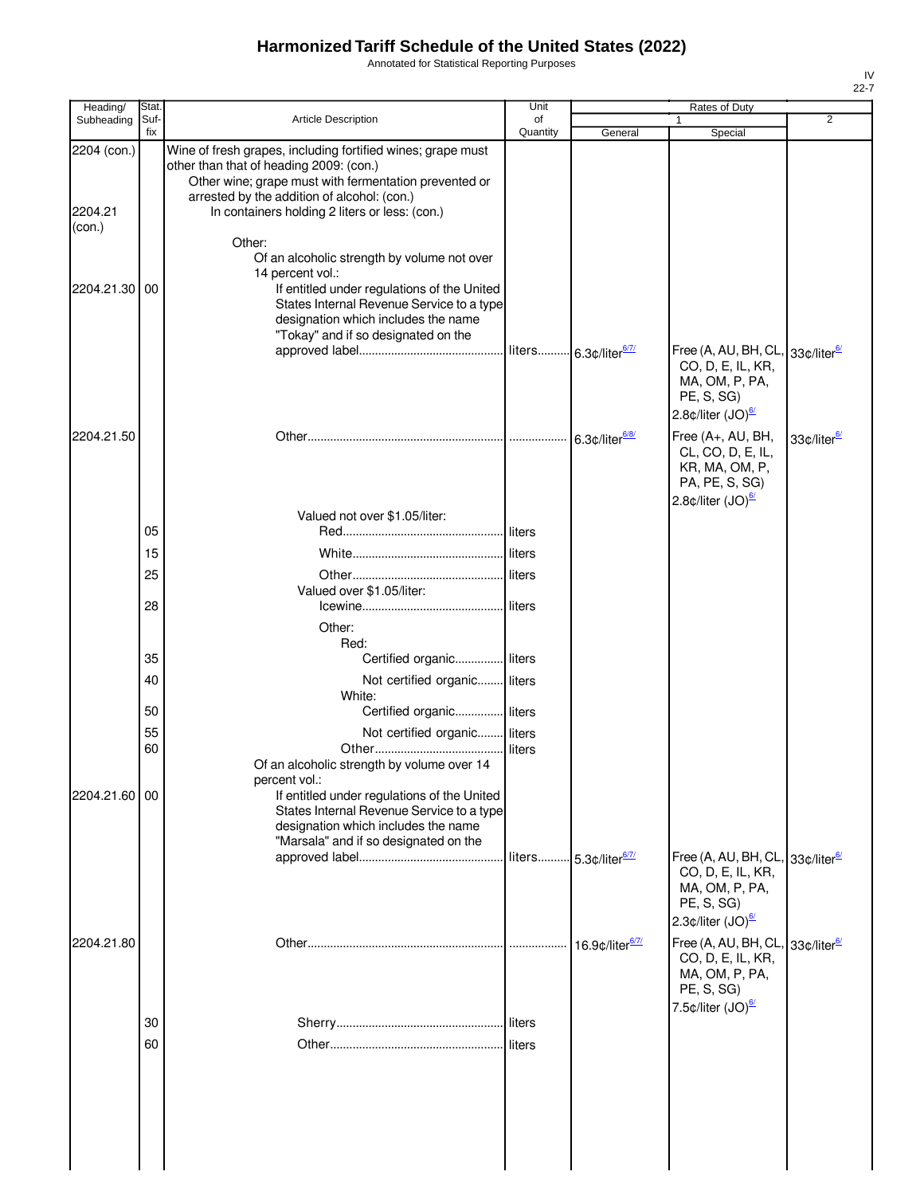Annotated for Statistical Reporting Purposes

| Heading/                         | Stat        |                                                                                                                                                                                                                                                                                                                           | Unit           |                                   | Rates of Duty                                                                                                                                                            |                         |
|----------------------------------|-------------|---------------------------------------------------------------------------------------------------------------------------------------------------------------------------------------------------------------------------------------------------------------------------------------------------------------------------|----------------|-----------------------------------|--------------------------------------------------------------------------------------------------------------------------------------------------------------------------|-------------------------|
| Subheading                       | Suf-<br>fix | Article Description                                                                                                                                                                                                                                                                                                       | of<br>Quantity | General                           | Special                                                                                                                                                                  | $\overline{2}$          |
| 2204 (con.)<br>2204.21<br>(con.) |             | Wine of fresh grapes, including fortified wines; grape must<br>other than that of heading 2009: (con.)<br>Other wine; grape must with fermentation prevented or<br>arrested by the addition of alcohol: (con.)<br>In containers holding 2 liters or less: (con.)<br>Other:<br>Of an alcoholic strength by volume not over |                |                                   |                                                                                                                                                                          |                         |
| 2204.21.30                       | 00          | 14 percent vol.:<br>If entitled under regulations of the United<br>States Internal Revenue Service to a type<br>designation which includes the name<br>"Tokay" and if so designated on the                                                                                                                                |                | liters 6.3¢/liter <sup>6/7/</sup> | Free (A, AU, BH, CL, 33¢/liter <sup>6/</sup><br>CO, D, E, IL, KR,<br>MA, OM, P, PA,<br>PE, S, SG)<br>2.8 $\phi$ /liter (JO) $\frac{67}{2}$                               |                         |
| 2204.21.50                       |             |                                                                                                                                                                                                                                                                                                                           |                | 6.3¢/liter <sup>6/8/</sup>        | Free (A+, AU, BH,<br>CL, CO, D, E, IL,<br>KR, MA, OM, P,<br>PA, PE, S, SG)<br>2.8 $\text{\textdegree}$ /liter (JO) $\frac{\text{\textdegree}}{2}$                        | 33¢/liter <sup>6/</sup> |
|                                  |             | Valued not over \$1.05/liter:                                                                                                                                                                                                                                                                                             |                |                                   |                                                                                                                                                                          |                         |
|                                  | 05          |                                                                                                                                                                                                                                                                                                                           | liters         |                                   |                                                                                                                                                                          |                         |
|                                  | 15          |                                                                                                                                                                                                                                                                                                                           | liters         |                                   |                                                                                                                                                                          |                         |
|                                  | 25          |                                                                                                                                                                                                                                                                                                                           |                |                                   |                                                                                                                                                                          |                         |
|                                  | 28          | Valued over \$1.05/liter:                                                                                                                                                                                                                                                                                                 |                |                                   |                                                                                                                                                                          |                         |
|                                  |             | Other:<br>Red:                                                                                                                                                                                                                                                                                                            |                |                                   |                                                                                                                                                                          |                         |
|                                  | 35          | Certified organic liters                                                                                                                                                                                                                                                                                                  |                |                                   |                                                                                                                                                                          |                         |
|                                  | 40          | Not certified organic liters                                                                                                                                                                                                                                                                                              |                |                                   |                                                                                                                                                                          |                         |
|                                  | 50          | White:<br>Certified organic liters                                                                                                                                                                                                                                                                                        |                |                                   |                                                                                                                                                                          |                         |
|                                  | 55          | Not certified organic liters                                                                                                                                                                                                                                                                                              |                |                                   |                                                                                                                                                                          |                         |
|                                  | 60          |                                                                                                                                                                                                                                                                                                                           | liters         |                                   |                                                                                                                                                                          |                         |
| 2204.21.60 00                    |             | Of an alcoholic strength by volume over 14<br>percent vol.:<br>If entitled under regulations of the United                                                                                                                                                                                                                |                |                                   |                                                                                                                                                                          |                         |
|                                  |             | States Internal Revenue Service to a type<br>designation which includes the name<br>"Marsala" and if so designated on the                                                                                                                                                                                                 |                |                                   |                                                                                                                                                                          |                         |
|                                  |             |                                                                                                                                                                                                                                                                                                                           |                | liters 5.3¢/liter6/7/             | Free (A, AU, BH, CL, 33¢/liter <sup>6/</sup><br>CO, D, E, IL, KR,<br>MA, OM, P, PA,<br>PE, S, SG)<br>2.3 $\phi$ /liter (JO) $\frac{67}{2}$                               |                         |
| 2204.21.80                       |             |                                                                                                                                                                                                                                                                                                                           |                | 16.9¢/liter <sup>6/7/</sup>       | Free (A, AU, BH, CL, 33¢/liter <sup>6/</sup><br>CO, D, E, IL, KR,<br>MA, OM, P, PA,<br>PE, S, SG)<br>7.5 $\text{\textdegree}$ /liter (JO) $\frac{\text{\textdegree}}{2}$ |                         |
|                                  | 30          |                                                                                                                                                                                                                                                                                                                           | <b>liters</b>  |                                   |                                                                                                                                                                          |                         |
|                                  | 60          |                                                                                                                                                                                                                                                                                                                           | liters         |                                   |                                                                                                                                                                          |                         |
|                                  |             |                                                                                                                                                                                                                                                                                                                           |                |                                   |                                                                                                                                                                          |                         |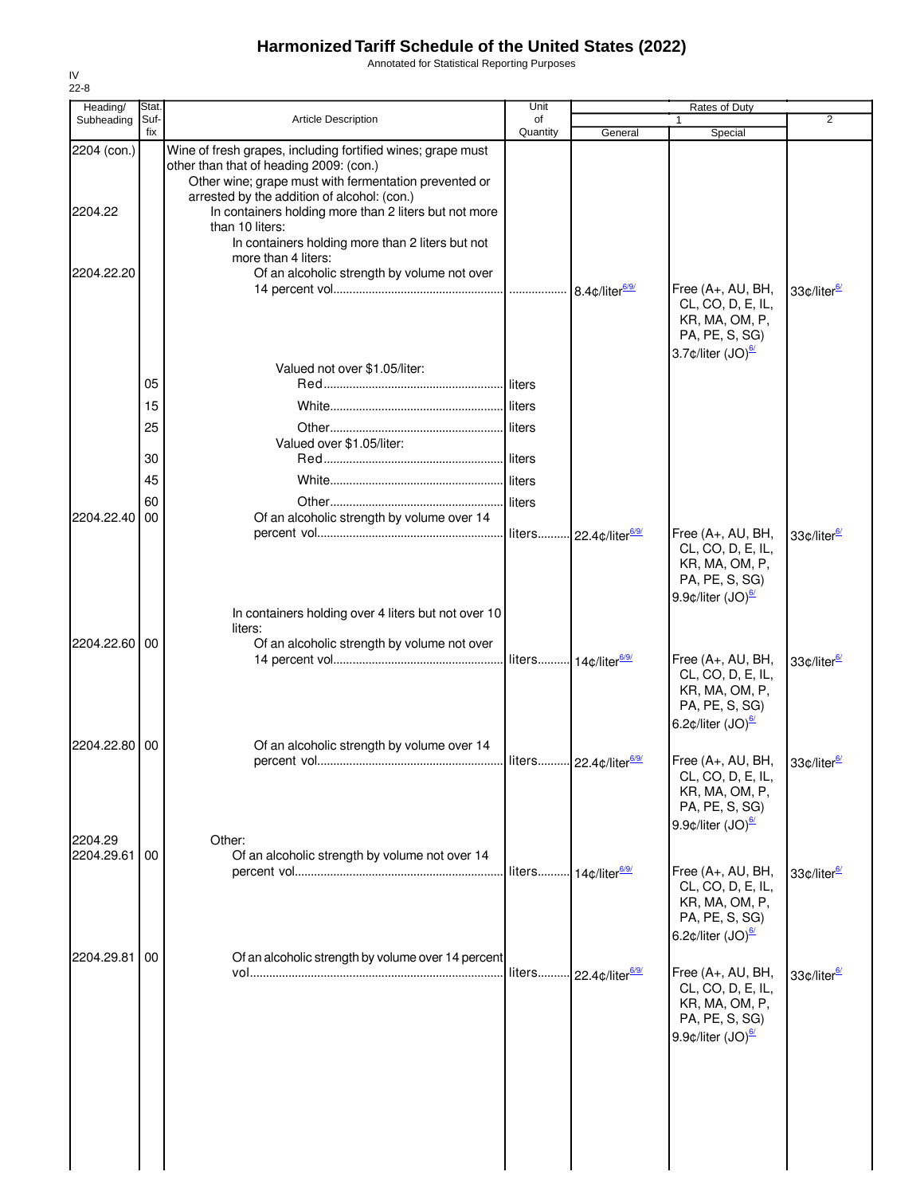Annotated for Statistical Reporting Purposes

| Heading/      | Stat.       |                                                                                                                                                                             | Unit                 |                                    | Rates of Duty                                                                                                                                     |                         |
|---------------|-------------|-----------------------------------------------------------------------------------------------------------------------------------------------------------------------------|----------------------|------------------------------------|---------------------------------------------------------------------------------------------------------------------------------------------------|-------------------------|
| Subheading    | Suf-<br>fix | <b>Article Description</b>                                                                                                                                                  | οf<br>Quantity       | General                            | Special                                                                                                                                           | 2                       |
| 2204 (con.)   |             | Wine of fresh grapes, including fortified wines; grape must<br>other than that of heading 2009: (con.)<br>Other wine; grape must with fermentation prevented or             |                      |                                    |                                                                                                                                                   |                         |
| 2204.22       |             | arrested by the addition of alcohol: (con.)<br>In containers holding more than 2 liters but not more<br>than 10 liters:<br>In containers holding more than 2 liters but not |                      |                                    |                                                                                                                                                   |                         |
| 2204.22.20    |             | more than 4 liters:<br>Of an alcoholic strength by volume not over                                                                                                          |                      | 8.4¢/liter <sup>6/9/</sup>         | Free (A+, AU, BH,<br>CL, CO, D, E, IL,                                                                                                            | 33¢/liter <sup>6/</sup> |
|               |             |                                                                                                                                                                             |                      |                                    | KR, MA, OM, P,<br>PA, PE, S, SG)<br>3.7¢/liter (JO) <sup>6/</sup>                                                                                 |                         |
|               | 05          | Valued not over \$1.05/liter:                                                                                                                                               | liters               |                                    |                                                                                                                                                   |                         |
|               | 15          |                                                                                                                                                                             | liters               |                                    |                                                                                                                                                   |                         |
|               | 25          | Valued over \$1.05/liter:                                                                                                                                                   | liters               |                                    |                                                                                                                                                   |                         |
|               | 30          |                                                                                                                                                                             | liters               |                                    |                                                                                                                                                   |                         |
|               | 45          |                                                                                                                                                                             |                      |                                    |                                                                                                                                                   |                         |
| 2204.22.40    | 60<br>00    |                                                                                                                                                                             | liters               |                                    |                                                                                                                                                   |                         |
|               |             | Of an alcoholic strength by volume over 14                                                                                                                                  |                      | liters 22.4¢/liter <sup>6/9/</sup> | Free (A+, AU, BH,<br>CL, CO, D, E, IL,<br>KR, MA, OM, P,<br>PA, PE, S, SG)                                                                        | 33¢/liter <sup>6/</sup> |
|               |             | In containers holding over 4 liters but not over 10<br>liters:                                                                                                              |                      |                                    | 9.9 $\phi$ /liter (JO) $\frac{67}{2}$                                                                                                             |                         |
| 2204.22.60 00 |             | Of an alcoholic strength by volume not over                                                                                                                                 | liters 14¢/liter6/9/ |                                    | Free (A+, AU, BH,<br>CL, CO, D, E, IL,<br>KR, MA, OM, P,<br>PA, PE, S, SG)<br>6.2 $\phi$ /liter (JO) $\frac{67}{2}$                               | 33¢/liter <sup>6/</sup> |
| 2204.22.80 00 |             | Of an alcoholic strength by volume over 14                                                                                                                                  |                      |                                    | Free (A+, AU, BH,<br>CL, CO, D, E, IL,<br>KR, MA, OM, P,<br>PA, PE, S, SG)<br>9.9 $\phi$ /liter (JO) $\frac{67}{2}$                               | 33¢/liter <sup>6/</sup> |
| 2204.29       |             | Other:                                                                                                                                                                      |                      |                                    |                                                                                                                                                   |                         |
| 2204.29.61    | 00          | Of an alcoholic strength by volume not over 14                                                                                                                              |                      | liters 14¢/liter <sup>6/9/</sup>   | Free (A+, AU, BH,<br>CL, CO, D, E, IL,<br>KR, MA, OM, P,<br>PA, PE, S, SG)<br>6.2 $\text{\textdegree}$ /liter (JO) $\frac{\text{\textdegree}}{2}$ | 33¢/liter <sup>6/</sup> |
| 2204.29.81    | 00          | Of an alcoholic strength by volume over 14 percent                                                                                                                          | liters               | - 22.4¢/liter <sup>6/9/</sup>      | Free (A+, AU, BH,<br>CL, CO, D, E, IL,<br>KR, MA, OM, P,<br>PA, PE, S, SG)<br>9.9 $\phi$ /liter (JO) $\frac{67}{2}$                               | 33¢/liter <sup>6/</sup> |
|               |             |                                                                                                                                                                             |                      |                                    |                                                                                                                                                   |                         |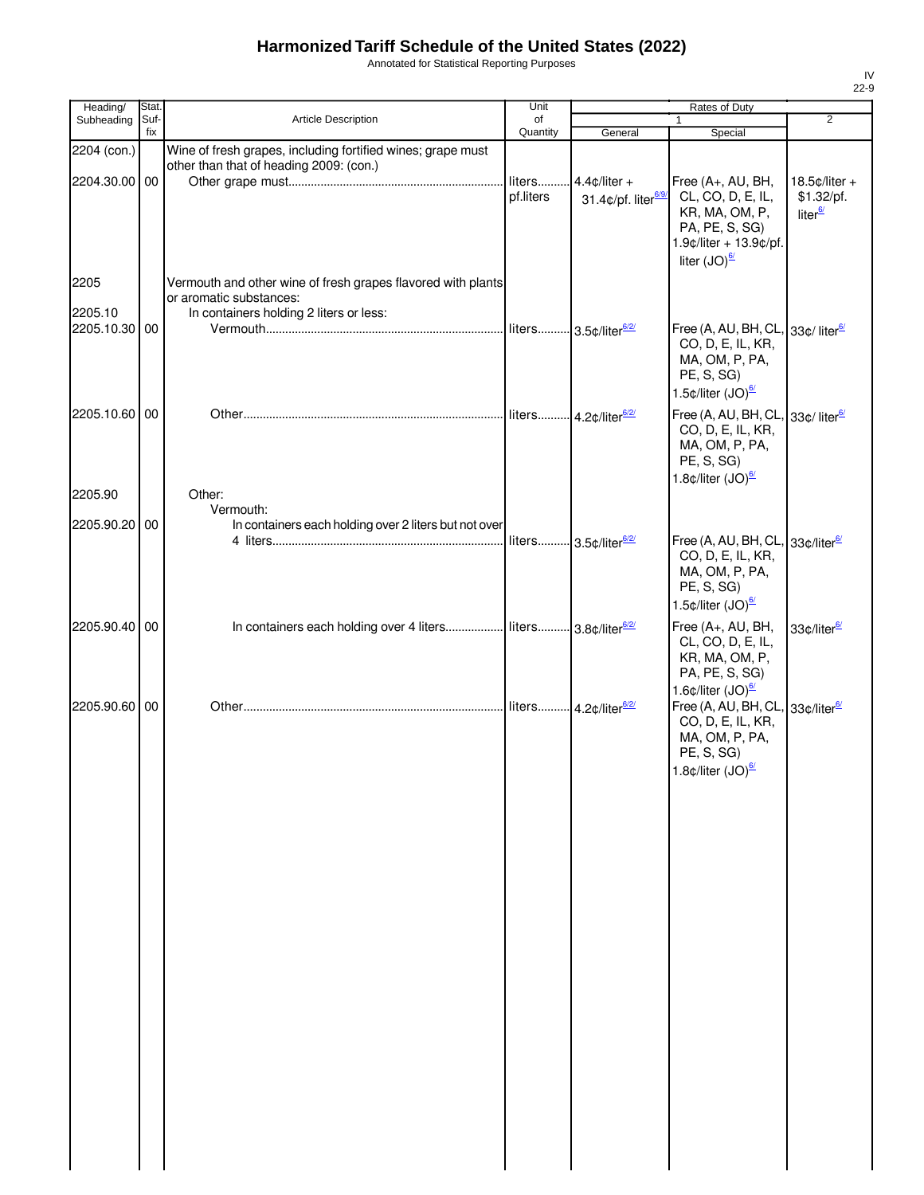Annotated for Statistical Reporting Purposes

| Heading/                 | Stat.       |                                                                                                        | Unit           |                                   | Rates of Duty                                                                                                                                                                    |                                   |
|--------------------------|-------------|--------------------------------------------------------------------------------------------------------|----------------|-----------------------------------|----------------------------------------------------------------------------------------------------------------------------------------------------------------------------------|-----------------------------------|
| Subheading               | Suf-<br>fix | Article Description                                                                                    | of<br>Quantity |                                   | 1                                                                                                                                                                                | $\overline{2}$                    |
| 2204 (con.)              |             | Wine of fresh grapes, including fortified wines; grape must<br>other than that of heading 2009: (con.) |                | General                           | Special                                                                                                                                                                          |                                   |
| 2204.30.00 00            |             |                                                                                                        | liters         | $4.4$ ¢/liter +                   | Free (A+, AU, BH,                                                                                                                                                                | $18.5$ ¢/liter +                  |
|                          |             |                                                                                                        | pf.liters      | 31.4¢/pf. liter <sup>6/9/</sup>   | CL, CO, D, E, IL,<br>KR, MA, OM, P,<br>PA, PE, S, SG)<br>1.9¢/liter + 13.9¢/pf.<br>liter $(JO)^{\frac{6}{2}}$                                                                    | \$1.32/pf.<br>liter <sup>6/</sup> |
| 2205                     |             | Vermouth and other wine of fresh grapes flavored with plants                                           |                |                                   |                                                                                                                                                                                  |                                   |
|                          |             | or aromatic substances:                                                                                |                |                                   |                                                                                                                                                                                  |                                   |
| 2205.10<br>2205.10.30 00 |             | In containers holding 2 liters or less:                                                                |                |                                   | Free (A, AU, BH, CL, 33¢/ liter <sup>6/</sup><br>CO, D, E, IL, KR,<br>MA, OM, P, PA,<br>PE, S, SG)<br>1.5 $\phi$ /liter (JO) $\frac{67}{2}$                                      |                                   |
| 2205.10.60 00            |             |                                                                                                        |                |                                   | Free (A, AU, BH, CL, 33¢/ liter <sup>6/</sup><br>CO, D, E, IL, KR,<br>MA, OM, P, PA,<br>PE, S, SG)<br>1.8 $\text{\textdegree}$ /liter (JO) $\frac{\text{\textdegree}}{2}$        |                                   |
| 2205.90                  |             | Other:                                                                                                 |                |                                   |                                                                                                                                                                                  |                                   |
| 2205.90.20 00            |             | Vermouth:<br>In containers each holding over 2 liters but not over                                     |                |                                   |                                                                                                                                                                                  |                                   |
|                          |             |                                                                                                        |                | liters 3.5¢/liter <sup>6/2/</sup> | Free (A, AU, BH, CL, 33¢/liter <sup>6/</sup><br>CO, D, E, IL, KR,<br>MA, OM, P, PA,<br>PE, S, SG)<br>1.5 $\phi$ /liter (JO) $\frac{67}{2}$                                       |                                   |
| 2205.90.40 00            |             | In containers each holding over 4 liters liters 3.8c/liter <sup>6/2/</sup>                             |                |                                   | Free (A+, AU, BH,<br>CL, CO, D, E, IL,<br>KR, MA, OM, P,<br>PA, PE, S, SG)                                                                                                       | 33¢/liter <sup>6/</sup>           |
| 2205.90.60 00            |             |                                                                                                        |                |                                   | 1.6¢/liter (JO) <sup>6/</sup><br>Free (A, AU, BH, CL<br>CO, D, E, IL, KR,<br>MA, OM, P, PA,<br>PE, S, SG)<br>1.8 $\text{\textdegree}$ /liter (JO) $\frac{\text{\textdegree}}{2}$ | 33¢/liter <sup>6/</sup>           |
|                          |             |                                                                                                        |                |                                   |                                                                                                                                                                                  |                                   |
|                          |             |                                                                                                        |                |                                   |                                                                                                                                                                                  |                                   |
|                          |             |                                                                                                        |                |                                   |                                                                                                                                                                                  |                                   |
|                          |             |                                                                                                        |                |                                   |                                                                                                                                                                                  |                                   |
|                          |             |                                                                                                        |                |                                   |                                                                                                                                                                                  |                                   |
|                          |             |                                                                                                        |                |                                   |                                                                                                                                                                                  |                                   |
|                          |             |                                                                                                        |                |                                   |                                                                                                                                                                                  |                                   |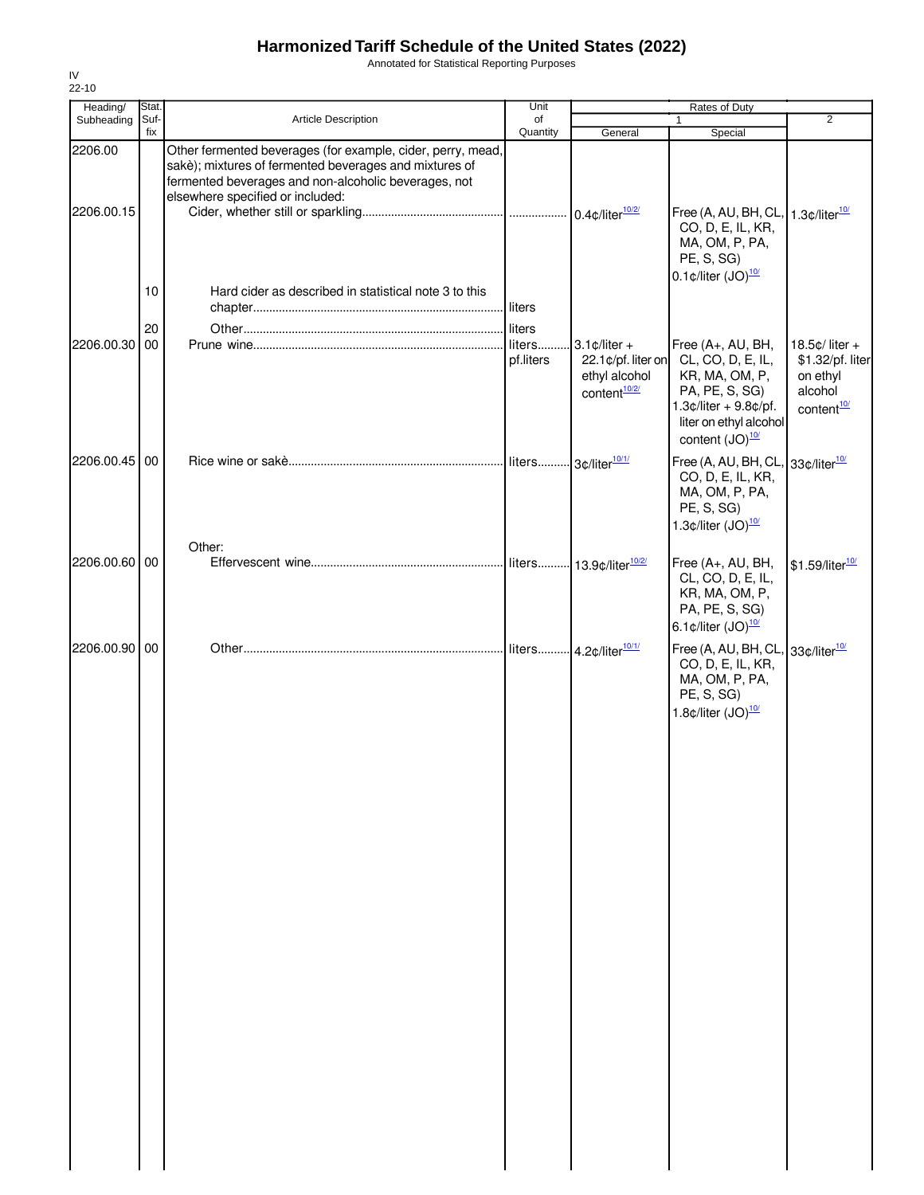Annotated for Statistical Reporting Purposes

| Heading/              | Stat.          |                                                                                                                                                                                                                   | Unit                |                                                                                                 | Rates of Duty                                                                                                                                                                                     |                                                                                       |
|-----------------------|----------------|-------------------------------------------------------------------------------------------------------------------------------------------------------------------------------------------------------------------|---------------------|-------------------------------------------------------------------------------------------------|---------------------------------------------------------------------------------------------------------------------------------------------------------------------------------------------------|---------------------------------------------------------------------------------------|
| Subheading            | Suf-<br>fix    | Article Description                                                                                                                                                                                               | of<br>Quantity      | General                                                                                         | 1<br>Special                                                                                                                                                                                      | $\overline{2}$                                                                        |
| 2206.00<br>2206.00.15 |                | Other fermented beverages (for example, cider, perry, mead,<br>sakè); mixtures of fermented beverages and mixtures of<br>fermented beverages and non-alcoholic beverages, not<br>elsewhere specified or included: |                     |                                                                                                 | Free (A, AU, BH, CL,<br>CO, D, E, IL, KR,<br>MA, OM, P, PA,<br>PE, S, SG)                                                                                                                         | 1.3 $\text{\degree}$ /liter $\frac{10}{1}$                                            |
| 2206.00.30            | 10<br>20<br>00 | Hard cider as described in statistical note 3 to this                                                                                                                                                             | liters<br>pf.liters | $3.1 \text{ } \phi$ /liter +<br>22.1¢/pf. liter on<br>ethyl alcohol<br>content <sup>10/2/</sup> | $0.1 \text{ } \phi$ /liter $(JO)^{\frac{10}{}}$<br>Free (A+, AU, BH,<br>CL, CO, D, E, IL,<br>KR, MA, OM, P,<br>PA, PE, S, SG)<br>$1.3$ ¢/liter + 9.8¢/pf.                                         | 18.5 $¢$ liter +<br>\$1.32/pf. liter<br>on ethyl<br>alcohol<br>content <sup>10/</sup> |
| 2206.00.45            | 00             |                                                                                                                                                                                                                   |                     |                                                                                                 | liter on ethyl alcohol<br>content $(JO)^{\frac{10}{}}$<br>Free (A, AU, BH, CL<br>CO, D, E, IL, KR,<br>MA, OM, P, PA,<br>PE, S, SG)<br>1.3 $\text{\textdegree}$ /liter $\text{(JO)}^{\frac{10}{}}$ | 33¢/liter <sup>10/</sup>                                                              |
| 2206.00.60 00         |                | Other:                                                                                                                                                                                                            | liters              | 13.9¢/liter <sup>10/2/</sup>                                                                    | Free (A+, AU, BH,<br>CL, CO, D, E, IL,<br>KR, MA, OM, P,<br>PA, PE, S, SG)<br>6.1 $\text{\textdegree}$ /liter (JO) $\frac{10}{10}$                                                                | \$1.59/liter <sup>10/</sup>                                                           |
| 2206.00.90            | 00             |                                                                                                                                                                                                                   |                     |                                                                                                 | Free (A, AU, BH, CL,<br>CO, D, E, IL, KR,<br>MA, OM, P, PA,<br>PE, S, SG)<br>1.8 $¢$ /liter $(JO)10/$                                                                                             | 33¢/liter <sup>10/</sup>                                                              |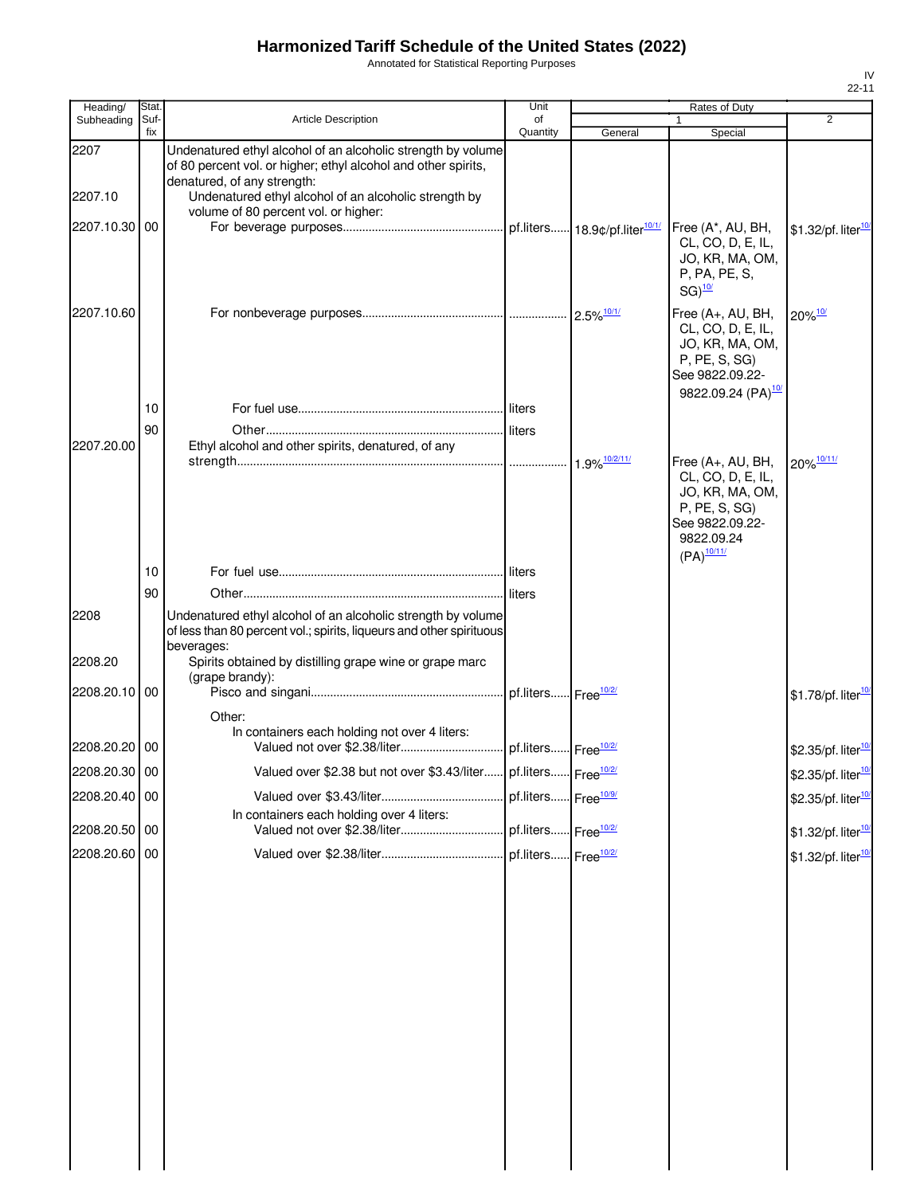Annotated for Statistical Reporting Purposes

| Heading/        | Stat.       |                                                                                                                                                                                                               | Unit           |                          | Rates of Duty                                                                                                                          |                                 |
|-----------------|-------------|---------------------------------------------------------------------------------------------------------------------------------------------------------------------------------------------------------------|----------------|--------------------------|----------------------------------------------------------------------------------------------------------------------------------------|---------------------------------|
| Subheading      | Suf-<br>fix | <b>Article Description</b>                                                                                                                                                                                    | of<br>Quantity | General                  | $\mathbf{1}$<br>Special                                                                                                                | 2                               |
| 2207            |             | Undenatured ethyl alcohol of an alcoholic strength by volume<br>of 80 percent vol. or higher; ethyl alcohol and other spirits,<br>denatured, of any strength:                                                 |                |                          |                                                                                                                                        |                                 |
| 2207.10         |             | Undenatured ethyl alcohol of an alcoholic strength by                                                                                                                                                         |                |                          |                                                                                                                                        |                                 |
| 2207.10.30 00   |             | volume of 80 percent vol. or higher:                                                                                                                                                                          |                |                          | Free (A*, AU, BH,<br>CL, CO, D, E, IL,<br>JO, KR, MA, OM,<br>P, PA, PE, S,<br>$SG)$ <sup>10/</sup>                                     | \$1.32/pf. liter <sup>10</sup>  |
| 2207.10.60      |             |                                                                                                                                                                                                               |                | $2.5\%$ <sup>10/1/</sup> | Free (A+, AU, BH,<br>CL, CO, D, E, IL,<br>JO, KR, MA, OM,<br>P, PE, S, SG)<br>See 9822.09.22-<br>9822.09.24 (PA) <sup>10/</sup>        | 20%10/                          |
|                 | 10          |                                                                                                                                                                                                               |                |                          |                                                                                                                                        |                                 |
| 2207.20.00      | 90          | Ethyl alcohol and other spirits, denatured, of any                                                                                                                                                            |                |                          |                                                                                                                                        |                                 |
|                 |             |                                                                                                                                                                                                               |                |                          | Free (A+, AU, BH,<br>CL, CO, D, E, IL,<br>JO, KR, MA, OM,<br>P, PE, S, SG)<br>See 9822.09.22-<br>9822.09.24<br>$(PA)^{\frac{10/11}{}}$ | 20% 10/11/                      |
|                 | 10          |                                                                                                                                                                                                               |                |                          |                                                                                                                                        |                                 |
|                 | 90          |                                                                                                                                                                                                               |                |                          |                                                                                                                                        |                                 |
| 2208<br>2208.20 |             | Undenatured ethyl alcohol of an alcoholic strength by volume<br>of less than 80 percent vol.; spirits, liqueurs and other spirituous<br>beverages:<br>Spirits obtained by distilling grape wine or grape marc |                |                          |                                                                                                                                        |                                 |
| 2208.20.10 00   |             | (grape brandy):                                                                                                                                                                                               |                |                          |                                                                                                                                        |                                 |
|                 |             |                                                                                                                                                                                                               |                |                          |                                                                                                                                        | \$1.78/pf. liter <sup>10</sup>  |
| 2208.20.20 00   |             | Other:<br>In containers each holding not over 4 liters:                                                                                                                                                       |                |                          |                                                                                                                                        | \$2.35/pf. liter <sup>10/</sup> |
| 2208.20.30 00   |             | Valued over \$2.38 but not over \$3.43/liter pf.liters Free <sup>10/2/</sup>                                                                                                                                  |                |                          |                                                                                                                                        | \$2.35/pf. liter <sup>10/</sup> |
| 2208.20.40 00   |             |                                                                                                                                                                                                               |                |                          |                                                                                                                                        | \$2.35/pf. liter <sup>10</sup>  |
| 2208.20.50 00   |             | In containers each holding over 4 liters:                                                                                                                                                                     |                |                          |                                                                                                                                        | \$1.32/pf. liter <sup>10</sup>  |
| 2208.20.60 00   |             |                                                                                                                                                                                                               |                |                          |                                                                                                                                        | \$1.32/pf. liter <sup>10</sup>  |
|                 |             |                                                                                                                                                                                                               |                |                          |                                                                                                                                        |                                 |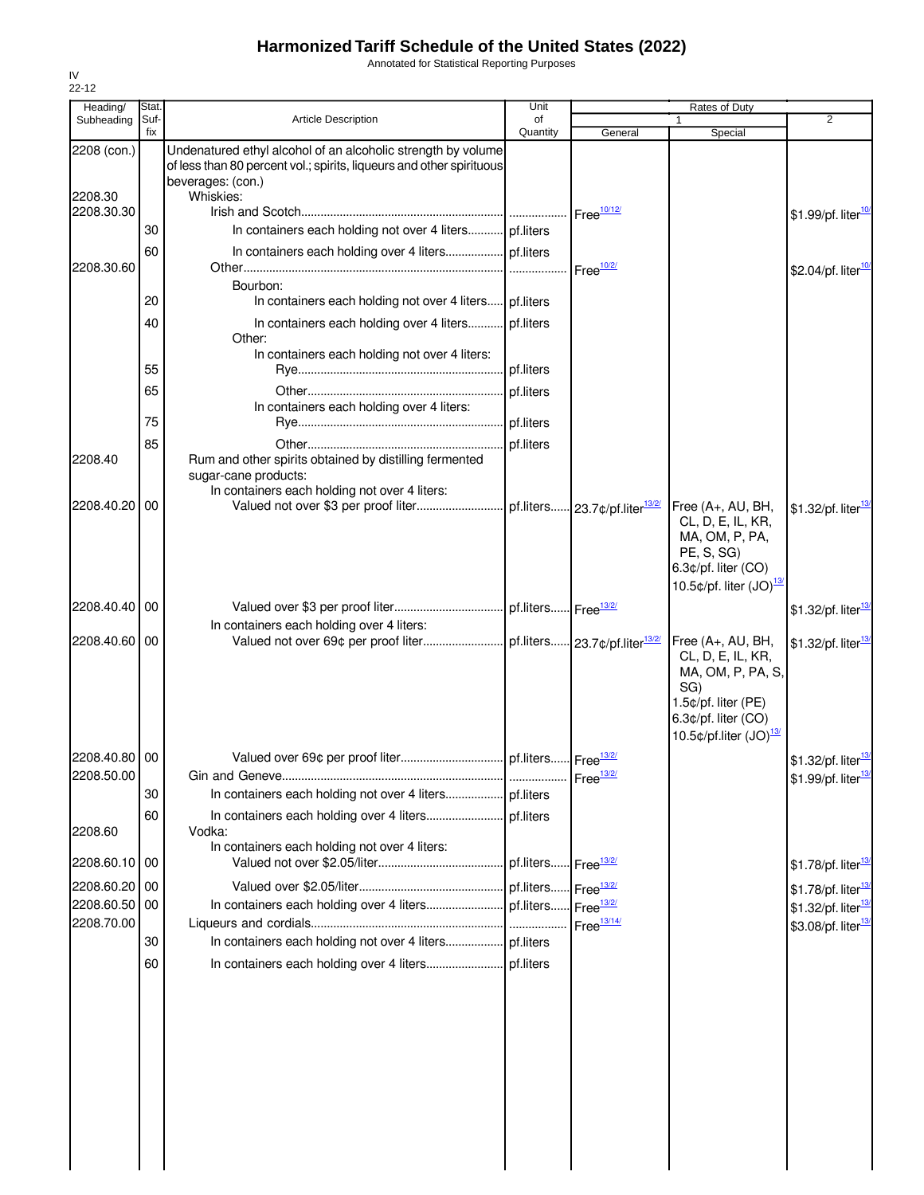Annotated for Statistical Reporting Purposes

| Heading/      | Stat.       |                                                                                                                                                           | Unit                            |                        | Rates of Duty                                                                                                                       |                                  |
|---------------|-------------|-----------------------------------------------------------------------------------------------------------------------------------------------------------|---------------------------------|------------------------|-------------------------------------------------------------------------------------------------------------------------------------|----------------------------------|
| Subheading    | Suf-<br>fix | <b>Article Description</b>                                                                                                                                | of<br>Quantity                  | General                | Special                                                                                                                             | $\overline{2}$                   |
| 2208 (con.)   |             | Undenatured ethyl alcohol of an alcoholic strength by volume<br>of less than 80 percent vol.; spirits, liqueurs and other spirituous<br>beverages: (con.) |                                 |                        |                                                                                                                                     |                                  |
| 2208.30       |             | Whiskies:                                                                                                                                                 |                                 |                        |                                                                                                                                     |                                  |
| 2208.30.30    |             |                                                                                                                                                           |                                 | Free <sup>10/12/</sup> |                                                                                                                                     | \$1.99/pf. liter <sup>10</sup>   |
|               | 30          | In containers each holding not over 4 liters pf.liters                                                                                                    |                                 |                        |                                                                                                                                     |                                  |
| 2208.30.60    | 60          |                                                                                                                                                           |                                 | Free <sup>10/2/</sup>  |                                                                                                                                     | \$2.04/pf. liter $\frac{10}{10}$ |
|               | 20          | Bourbon:<br>In containers each holding not over 4 liters pf.liters                                                                                        |                                 |                        |                                                                                                                                     |                                  |
|               |             |                                                                                                                                                           |                                 |                        |                                                                                                                                     |                                  |
|               | 40          | In containers each holding over 4 liters pf.liters<br>Other:<br>In containers each holding not over 4 liters:                                             |                                 |                        |                                                                                                                                     |                                  |
|               | 55          |                                                                                                                                                           |                                 |                        |                                                                                                                                     |                                  |
|               | 65          |                                                                                                                                                           | pf.liters                       |                        |                                                                                                                                     |                                  |
|               |             | In containers each holding over 4 liters:                                                                                                                 |                                 |                        |                                                                                                                                     |                                  |
|               | 75          |                                                                                                                                                           | pf.liters                       |                        |                                                                                                                                     |                                  |
|               | 85          |                                                                                                                                                           | pf.liters                       |                        |                                                                                                                                     |                                  |
| 2208.40       |             | Rum and other spirits obtained by distilling fermented<br>sugar-cane products:                                                                            |                                 |                        |                                                                                                                                     |                                  |
|               |             | In containers each holding not over 4 liters:                                                                                                             |                                 |                        |                                                                                                                                     |                                  |
| 2208.40.20    | 00          |                                                                                                                                                           |                                 |                        | Free (A+, AU, BH,<br>CL, D, E, IL, KR,<br>MA, OM, P, PA,<br>PE, S, SG)<br>6.3¢/pf. liter (CO)<br>10.5 $\phi$ /pf. liter $(JO)^{13}$ | \$1.32/pf. liter <sup>13</sup>   |
|               |             |                                                                                                                                                           |                                 |                        |                                                                                                                                     |                                  |
| 2208.40.40    | 00          |                                                                                                                                                           |                                 |                        |                                                                                                                                     | \$1.32/pf. liter <sup>13</sup>   |
| 2208.40.60 00 |             | In containers each holding over 4 liters:                                                                                                                 |                                 |                        | Free (A+, AU, BH,                                                                                                                   |                                  |
|               |             |                                                                                                                                                           |                                 |                        | CL, D, E, IL, KR,<br>MA, OM, P, PA, S,<br>SG)<br>1.5¢/pf. liter (PE)<br>6.3¢/pf. liter (CO)<br>10.5¢/pf.liter (JO) <sup>13/</sup>   | \$1.32/pf. liter <sup>13</sup>   |
| 2208.40.80 00 |             |                                                                                                                                                           |                                 |                        |                                                                                                                                     | \$1.32/pf. liter <sup>13</sup>   |
| 2208.50.00    |             |                                                                                                                                                           |                                 |                        |                                                                                                                                     | \$1.99/pf. liter <sup>13/</sup>  |
|               | 30          |                                                                                                                                                           |                                 |                        |                                                                                                                                     |                                  |
|               | 60          |                                                                                                                                                           | pf.liters                       |                        |                                                                                                                                     |                                  |
| 2208.60       |             | Vodka:                                                                                                                                                    |                                 |                        |                                                                                                                                     |                                  |
| 2208.60.10 00 |             | In containers each holding not over 4 liters:                                                                                                             | pf.liters Free <sup>13/2/</sup> |                        |                                                                                                                                     | \$1.78/pf. liter <sup>13/</sup>  |
| 2208.60.20    | 00          |                                                                                                                                                           |                                 | Free $\frac{13/2}{2}$  |                                                                                                                                     | \$1.78/pf. liter <sup>13/</sup>  |
| 2208.60.50    | 00          |                                                                                                                                                           |                                 | Free <sup>13/2/</sup>  |                                                                                                                                     | \$1.32/pf. liter <sup>13/</sup>  |
| 2208.70.00    |             |                                                                                                                                                           |                                 | Free $\frac{13/14}{ }$ |                                                                                                                                     | \$3.08/pf. liter <sup>13/</sup>  |
|               | 30          |                                                                                                                                                           |                                 |                        |                                                                                                                                     |                                  |
|               | 60          |                                                                                                                                                           |                                 |                        |                                                                                                                                     |                                  |
|               |             |                                                                                                                                                           |                                 |                        |                                                                                                                                     |                                  |
|               |             |                                                                                                                                                           |                                 |                        |                                                                                                                                     |                                  |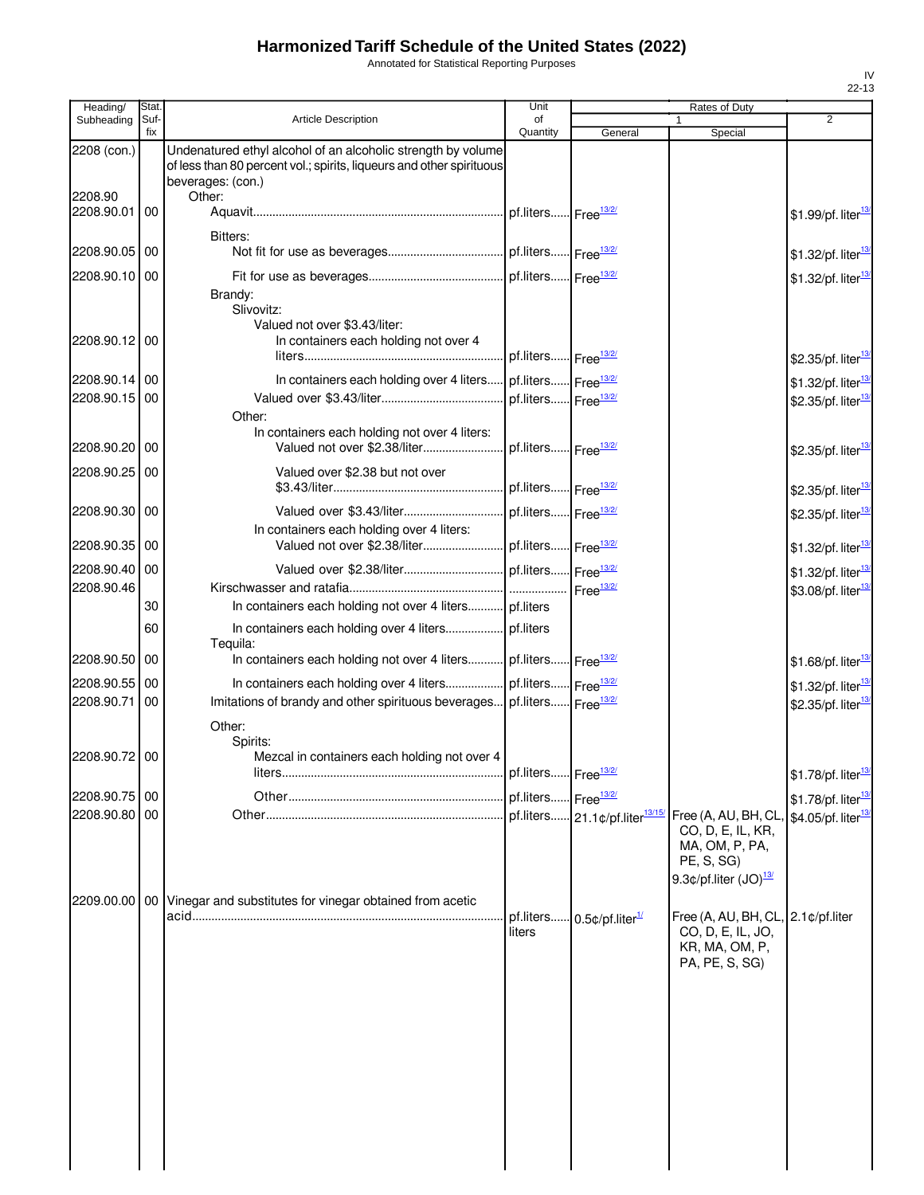Annotated for Statistical Reporting Purposes

| Heading/              | Stat.       |                                                                                                                                                           | Unit                            |                                            | <b>Rates of Duty</b>                                                                                                  |                                 |
|-----------------------|-------------|-----------------------------------------------------------------------------------------------------------------------------------------------------------|---------------------------------|--------------------------------------------|-----------------------------------------------------------------------------------------------------------------------|---------------------------------|
| Subheading            | Suf-<br>fix | <b>Article Description</b>                                                                                                                                | of<br>Quantity                  | General                                    | 1<br>Special                                                                                                          | $\overline{2}$                  |
| 2208 (con.)           |             | Undenatured ethyl alcohol of an alcoholic strength by volume<br>of less than 80 percent vol.; spirits, liqueurs and other spirituous<br>beverages: (con.) |                                 |                                            |                                                                                                                       |                                 |
| 2208.90<br>2208.90.01 | 00          | Other:                                                                                                                                                    |                                 |                                            |                                                                                                                       | \$1.99/pf. liter <sup>13</sup>  |
| 2208.90.05 00         |             | Bitters:                                                                                                                                                  |                                 |                                            |                                                                                                                       | \$1.32/pf. liter <sup>13/</sup> |
| 2208.90.10 00         |             |                                                                                                                                                           |                                 |                                            |                                                                                                                       | \$1.32/pf. liter <sup>13</sup>  |
| 2208.90.12 00         |             | Brandy:<br>Slivovitz:<br>Valued not over \$3.43/liter:<br>In containers each holding not over 4                                                           |                                 |                                            |                                                                                                                       |                                 |
|                       |             |                                                                                                                                                           | pf.liters Free <sup>13/2/</sup> |                                            |                                                                                                                       | \$2.35/pf. liter <sup>13</sup>  |
| 2208.90.14 00         |             | In containers each holding over 4 liters                                                                                                                  | pf.liters Free <sup>13/2/</sup> |                                            |                                                                                                                       | \$1.32/pf. liter <sup>13/</sup> |
| 2208.90.15 00         |             | Other:                                                                                                                                                    | pf.liters Free <sup>13/2/</sup> |                                            |                                                                                                                       | \$2.35/pf. liter <sup>13/</sup> |
| 2208.90.20 00         |             | In containers each holding not over 4 liters:<br>Valued not over \$2.38/liter                                                                             | pf.liters Free <sup>13/2/</sup> |                                            |                                                                                                                       | \$2.35/pf. liter <sup>13</sup>  |
| 2208.90.25 00         |             | Valued over \$2.38 but not over                                                                                                                           | pf.liters Free <sup>13/2/</sup> |                                            |                                                                                                                       | \$2.35/pf. liter <sup>13/</sup> |
| 2208.90.30 00         |             |                                                                                                                                                           |                                 |                                            |                                                                                                                       | \$2.35/pf. liter <sup>13</sup>  |
| 2208.90.35 00         |             | In containers each holding over 4 liters:                                                                                                                 |                                 |                                            |                                                                                                                       | \$1.32/pf. liter <sup>13</sup>  |
| 2208.90.40 00         |             |                                                                                                                                                           |                                 |                                            |                                                                                                                       | \$1.32/pf. liter <sup>13/</sup> |
| 2208.90.46            |             |                                                                                                                                                           |                                 | Free $\frac{13/2}{2}$                      |                                                                                                                       | \$3.08/pf. liter <sup>13/</sup> |
|                       | 30          | In containers each holding not over 4 liters pf.liters                                                                                                    |                                 |                                            |                                                                                                                       |                                 |
|                       | 60          | Tequila:                                                                                                                                                  |                                 |                                            |                                                                                                                       |                                 |
| 2208.90.50 00         |             | In containers each holding not over 4 liters pf.liters Free <sup>13/2/</sup>                                                                              |                                 |                                            |                                                                                                                       | \$1.68/pf. liter <sup>13/</sup> |
| 2208.90.55            | 00          | In containers each holding over 4 liters pf.liters Free <sup>13/2/</sup>                                                                                  |                                 |                                            |                                                                                                                       | \$1.32/pf. liter <sup>13/</sup> |
| 2208.90.71            | 00          | Imitations of brandy and other spirituous beverages pf.liters Free <sup>13/2/</sup><br>Other:                                                             |                                 |                                            |                                                                                                                       | \$2.35/pf. liter <sup>13</sup>  |
| 2208.90.72 00         |             | Spirits:<br>Mezcal in containers each holding not over 4<br>liters                                                                                        | pf.liters Free <sup>13/2/</sup> |                                            |                                                                                                                       | \$1.78/pf. liter <sup>13/</sup> |
| 2208.90.75 00         |             |                                                                                                                                                           | pf.liters Free <sup>13/2/</sup> |                                            |                                                                                                                       | \$1.78/pf. liter <sup>13</sup>  |
| 2208.90.80 00         |             |                                                                                                                                                           |                                 | pf.liters 21.1¢/pf.liter <sup>13/15/</sup> | Free (A, AU, BH, CL,<br>CO, D, E, IL, KR,<br>MA, OM, P, PA,<br>PE, S, SG)<br>9.3 $\phi$ /pf.liter (JO) $\frac{13}{2}$ | \$4.05/pf. liter <sup>13</sup>  |
| 2209.00.00 00         |             | Vinegar and substitutes for vinegar obtained from acetic                                                                                                  | pf.liters<br>liters             | $0.5$ ¢/pf.liter $\frac{1}{2}$             | Free (A, AU, BH, CL, 2.1¢/pf.liter<br>CO, D, E, IL, JO,<br>KR, MA, OM, P,<br>PA, PE, S, SG)                           |                                 |
|                       |             |                                                                                                                                                           |                                 |                                            |                                                                                                                       |                                 |